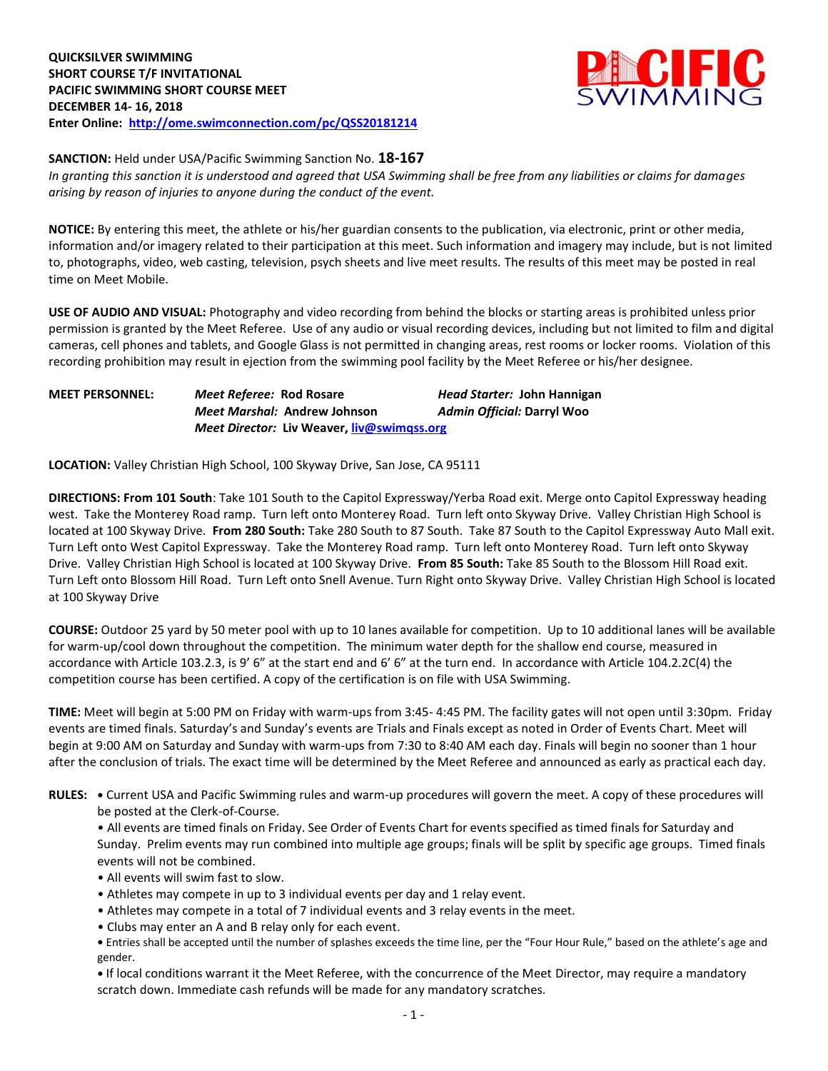

**SANCTION:** Held under USA/Pacific Swimming Sanction No. **18-167**

*In granting this sanction it is understood and agreed that USA Swimming shall be free from any liabilities or claims for damages arising by reason of injuries to anyone during the conduct of the event.* 

**NOTICE:** By entering this meet, the athlete or his/her guardian consents to the publication, via electronic, print or other media, information and/or imagery related to their participation at this meet. Such information and imagery may include, but is not limited to, photographs, video, web casting, television, psych sheets and live meet results. The results of this meet may be posted in real time on Meet Mobile.

**USE OF AUDIO AND VISUAL:** Photography and video recording from behind the blocks or starting areas is prohibited unless prior permission is granted by the Meet Referee. Use of any audio or visual recording devices, including but not limited to film and digital cameras, cell phones and tablets, and Google Glass is not permitted in changing areas, rest rooms or locker rooms. Violation of this recording prohibition may result in ejection from the swimming pool facility by the Meet Referee or his/her designee.

| <b>MEET PERSONNEL:</b> | <i>Meet Referee: Rod Rosare</i>     |                                                   | Head Starter: John Hannigan |  |  |  |  |
|------------------------|-------------------------------------|---------------------------------------------------|-----------------------------|--|--|--|--|
|                        | <i>Meet Marshal: Andrew Johnson</i> |                                                   | Admin Official: Darryl Woo  |  |  |  |  |
|                        |                                     | <i>Meet Director:</i> Liv Weaver, liv@swimgss.org |                             |  |  |  |  |

**LOCATION:** Valley Christian High School, 100 Skyway Drive, San Jose, CA 95111

**DIRECTIONS: From 101 South**: Take 101 South to the Capitol Expressway/Yerba Road exit. Merge onto Capitol Expressway heading west. Take the Monterey Road ramp. Turn left onto Monterey Road. Turn left onto Skyway Drive. Valley Christian High School is located at 100 Skyway Drive. **From 280 South:** Take 280 South to 87 South. Take 87 South to the Capitol Expressway Auto Mall exit. Turn Left onto West Capitol Expressway. Take the Monterey Road ramp. Turn left onto Monterey Road. Turn left onto Skyway Drive. Valley Christian High School is located at 100 Skyway Drive. **From 85 South:** Take 85 South to the Blossom Hill Road exit. Turn Left onto Blossom Hill Road. Turn Left onto Snell Avenue. Turn Right onto Skyway Drive. Valley Christian High School is located at 100 Skyway Drive

**COURSE:** Outdoor 25 yard by 50 meter pool with up to 10 lanes available for competition. Up to 10 additional lanes will be available for warm-up/cool down throughout the competition. The minimum water depth for the shallow end course, measured in accordance with Article 103.2.3, is 9' 6" at the start end and 6' 6" at the turn end. In accordance with Article 104.2.2C(4) the competition course has been certified. A copy of the certification is on file with USA Swimming.

**TIME:** Meet will begin at 5:00 PM on Friday with warm-ups from 3:45- 4:45 PM. The facility gates will not open until 3:30pm. Friday events are timed finals. Saturday's and Sunday's events are Trials and Finals except as noted in Order of Events Chart. Meet will begin at 9:00 AM on Saturday and Sunday with warm-ups from 7:30 to 8:40 AM each day. Finals will begin no sooner than 1 hour after the conclusion of trials. The exact time will be determined by the Meet Referee and announced as early as practical each day.

**RULES: •** Current USA and Pacific Swimming rules and warm-up procedures will govern the meet. A copy of these procedures will be posted at the Clerk-of-Course.

• All events are timed finals on Friday. See Order of Events Chart for events specified as timed finals for Saturday and Sunday. Prelim events may run combined into multiple age groups; finals will be split by specific age groups. Timed finals events will not be combined.

- All events will swim fast to slow.
- Athletes may compete in up to 3 individual events per day and 1 relay event.
- Athletes may compete in a total of 7 individual events and 3 relay events in the meet.
- Clubs may enter an A and B relay only for each event.

**•** Entries shall be accepted until the number of splashes exceeds the time line, per the "Four Hour Rule," based on the athlete's age and gender.

**•** If local conditions warrant it the Meet Referee, with the concurrence of the Meet Director, may require a mandatory scratch down. Immediate cash refunds will be made for any mandatory scratches.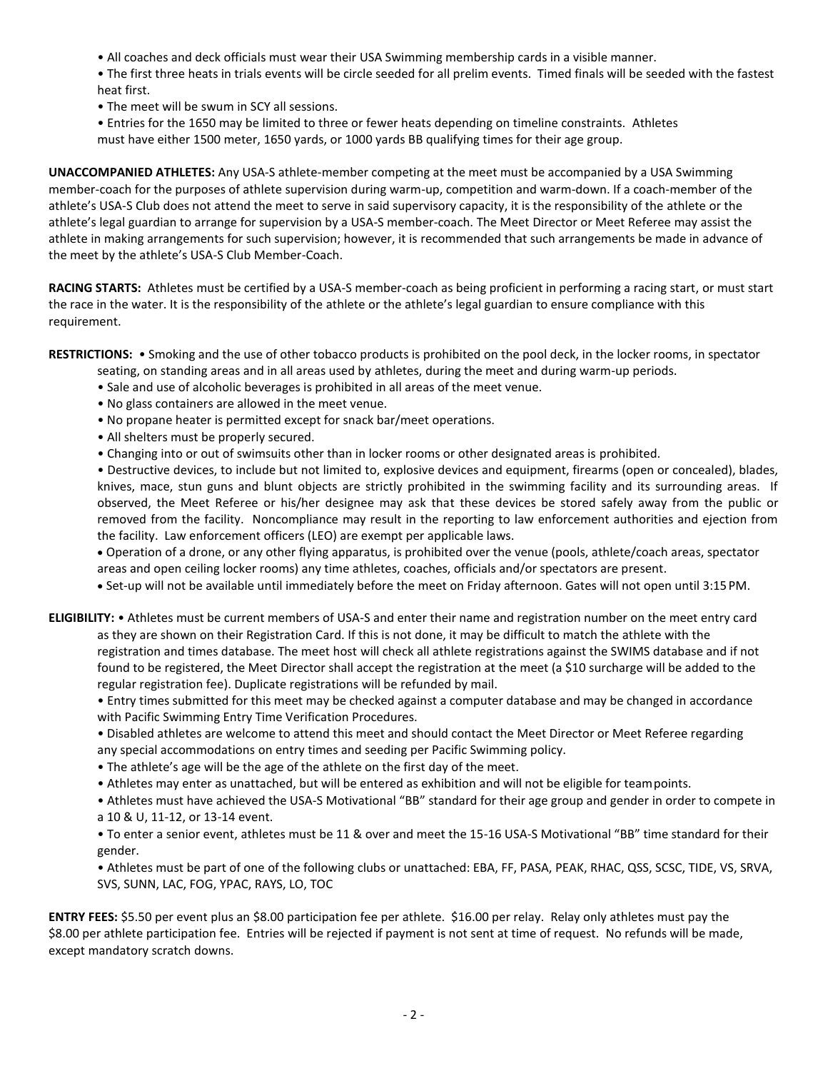- All coaches and deck officials must wear their USA Swimming membership cards in a visible manner.
- The first three heats in trials events will be circle seeded for all prelim events. Timed finals will be seeded with the fastest heat first.
- The meet will be swum in SCY all sessions.
- Entries for the 1650 may be limited to three or fewer heats depending on timeline constraints. Athletes must have either 1500 meter, 1650 yards, or 1000 yards BB qualifying times for their age group.

**UNACCOMPANIED ATHLETES:** Any USA-S athlete-member competing at the meet must be accompanied by a USA Swimming member-coach for the purposes of athlete supervision during warm-up, competition and warm-down. If a coach-member of the athlete's USA-S Club does not attend the meet to serve in said supervisory capacity, it is the responsibility of the athlete or the athlete's legal guardian to arrange for supervision by a USA-S member-coach. The Meet Director or Meet Referee may assist the athlete in making arrangements for such supervision; however, it is recommended that such arrangements be made in advance of the meet by the athlete's USA-S Club Member-Coach.

**RACING STARTS:** Athletes must be certified by a USA-S member-coach as being proficient in performing a racing start, or must start the race in the water. It is the responsibility of the athlete or the athlete's legal guardian to ensure compliance with this requirement.

**RESTRICTIONS:** • Smoking and the use of other tobacco products is prohibited on the pool deck, in the locker rooms, in spectator

- seating, on standing areas and in all areas used by athletes, during the meet and during warm-up periods.
- Sale and use of alcoholic beverages is prohibited in all areas of the meet venue.
- No glass containers are allowed in the meet venue.
- No propane heater is permitted except for snack bar/meet operations.
- All shelters must be properly secured.
- Changing into or out of swimsuits other than in locker rooms or other designated areas is prohibited.

• Destructive devices, to include but not limited to, explosive devices and equipment, firearms (open or concealed), blades, knives, mace, stun guns and blunt objects are strictly prohibited in the swimming facility and its surrounding areas. If observed, the Meet Referee or his/her designee may ask that these devices be stored safely away from the public or removed from the facility. Noncompliance may result in the reporting to law enforcement authorities and ejection from the facility. Law enforcement officers (LEO) are exempt per applicable laws.

 Operation of a drone, or any other flying apparatus, is prohibited over the venue (pools, athlete/coach areas, spectator areas and open ceiling locker rooms) any time athletes, coaches, officials and/or spectators are present.

Set-up will not be available until immediately before the meet on Friday afternoon. Gates will not open until 3:15PM.

**ELIGIBILITY:** • Athletes must be current members of USA-S and enter their name and registration number on the meet entry card as they are shown on their Registration Card. If this is not done, it may be difficult to match the athlete with the registration and times database. The meet host will check all athlete registrations against the SWIMS database and if not found to be registered, the Meet Director shall accept the registration at the meet (a \$10 surcharge will be added to the regular registration fee). Duplicate registrations will be refunded by mail.

• Entry times submitted for this meet may be checked against a computer database and may be changed in accordance with Pacific Swimming Entry Time Verification Procedures.

• Disabled athletes are welcome to attend this meet and should contact the Meet Director or Meet Referee regarding any special accommodations on entry times and seeding per Pacific Swimming policy.

- The athlete's age will be the age of the athlete on the first day of the meet.
- Athletes may enter as unattached, but will be entered as exhibition and will not be eligible for teampoints.

• Athletes must have achieved the USA-S Motivational "BB" standard for their age group and gender in order to compete in a 10 & U, 11-12, or 13-14 event.

• To enter a senior event, athletes must be 11 & over and meet the 15-16 USA-S Motivational "BB" time standard for their gender.

• Athletes must be part of one of the following clubs or unattached: EBA, FF, PASA, PEAK, RHAC, QSS, SCSC, TIDE, VS, SRVA, SVS, SUNN, LAC, FOG, YPAC, RAYS, LO, TOC

**ENTRY FEES:** \$5.50 per event plus an \$8.00 participation fee per athlete. \$16.00 per relay. Relay only athletes must pay the \$8.00 per athlete participation fee. Entries will be rejected if payment is not sent at time of request. No refunds will be made, except mandatory scratch downs.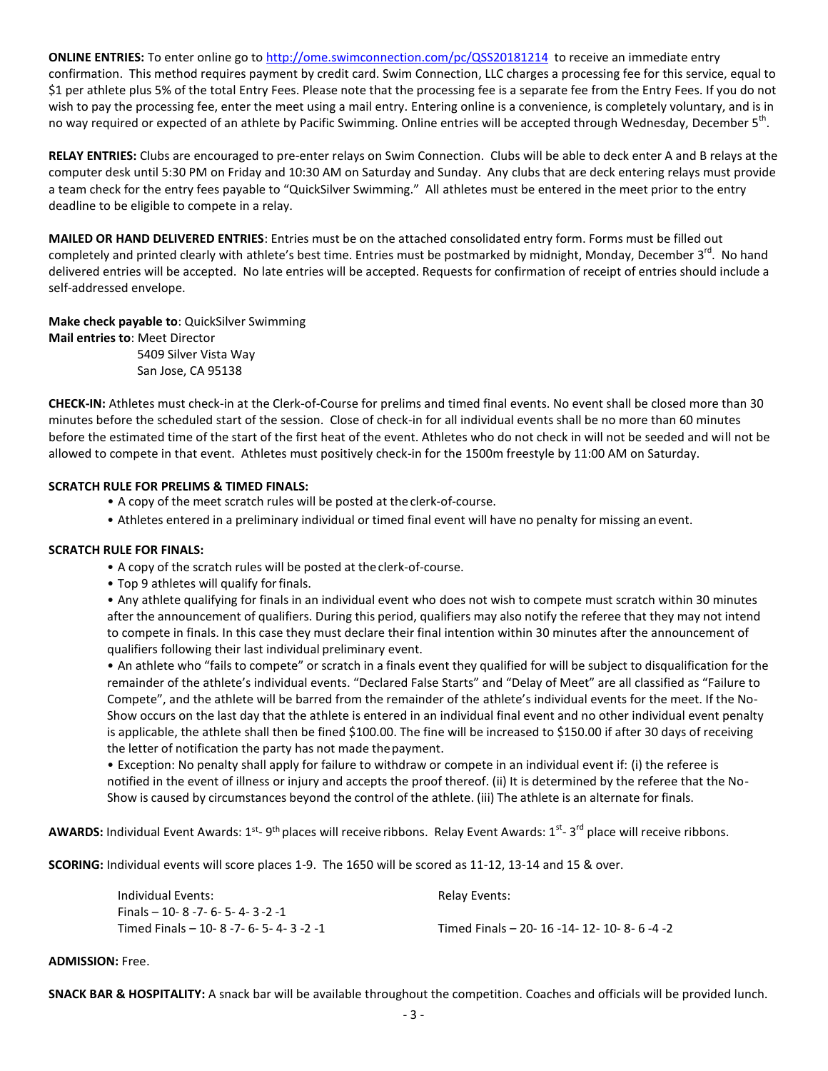**ONLINE ENTRIES:** To enter online go t[o http://ome.swimconnection.com/pc/QSS20181214](http://ome.swimconnection.com/pc/QSS20181214) to receive an immediate entry confirmation. This method requires payment by credit card. Swim Connection, LLC charges a processing fee for this service, equal to \$1 per athlete plus 5% of the total Entry Fees. Please note that the processing fee is a separate fee from the Entry Fees. If you do not wish to pay the processing fee, enter the meet using a mail entry. Entering online is a convenience, is completely voluntary, and is in no way required or expected of an athlete by Pacific Swimming. Online entries will be accepted through Wednesday, December 5<sup>th</sup>.

**RELAY ENTRIES:** Clubs are encouraged to pre-enter relays on Swim Connection. Clubs will be able to deck enter A and B relays at the computer desk until 5:30 PM on Friday and 10:30 AM on Saturday and Sunday. Any clubs that are deck entering relays must provide a team check for the entry fees payable to "QuickSilver Swimming." All athletes must be entered in the meet prior to the entry deadline to be eligible to compete in a relay.

**MAILED OR HAND DELIVERED ENTRIES**: Entries must be on the attached consolidated entry form. Forms must be filled out completely and printed clearly with athlete's best time. Entries must be postmarked by midnight, Monday, December 3<sup>rd</sup>. No hand delivered entries will be accepted. No late entries will be accepted. Requests for confirmation of receipt of entries should include a self-addressed envelope.

**Make check payable to**: QuickSilver Swimming **Mail entries to**: Meet Director 5409 Silver Vista Way

San Jose, CA 95138

**CHECK-IN:** Athletes must check-in at the Clerk-of-Course for prelims and timed final events. No event shall be closed more than 30 minutes before the scheduled start of the session. Close of check-in for all individual events shall be no more than 60 minutes before the estimated time of the start of the first heat of the event. Athletes who do not check in will not be seeded and will not be allowed to compete in that event. Athletes must positively check-in for the 1500m freestyle by 11:00 AM on Saturday.

## **SCRATCH RULE FOR PRELIMS & TIMED FINALS:**

- A copy of the meet scratch rules will be posted at the clerk-of-course.
- Athletes entered in a preliminary individual or timed final event will have no penalty for missing anevent.

#### **SCRATCH RULE FOR FINALS:**

- A copy of the scratch rules will be posted at theclerk-of-course.
- Top 9 athletes will qualify forfinals.

• Any athlete qualifying for finals in an individual event who does not wish to compete must scratch within 30 minutes after the announcement of qualifiers. During this period, qualifiers may also notify the referee that they may not intend to compete in finals. In this case they must declare their final intention within 30 minutes after the announcement of qualifiers following their last individual preliminary event.

• An athlete who "fails to compete" or scratch in a finals event they qualified for will be subject to disqualification for the remainder of the athlete's individual events. "Declared False Starts" and "Delay of Meet" are all classified as "Failure to Compete", and the athlete will be barred from the remainder of the athlete's individual events for the meet. If the No-Show occurs on the last day that the athlete is entered in an individual final event and no other individual event penalty is applicable, the athlete shall then be fined \$100.00. The fine will be increased to \$150.00 if after 30 days of receiving the letter of notification the party has not made thepayment.

• Exception: No penalty shall apply for failure to withdraw or compete in an individual event if: (i) the referee is notified in the event of illness or injury and accepts the proof thereof. (ii) It is determined by the referee that the No-Show is caused by circumstances beyond the control of the athlete. (iii) The athlete is an alternate for finals.

AWARDS: Individual Event Awards: 1<sup>st</sup>- 9<sup>th</sup> places will receive ribbons. Relay Event Awards: 1<sup>st</sup>- 3<sup>rd</sup> place will receive ribbons.

**SCORING:** Individual events will score places 1-9. The 1650 will be scored as 11-12, 13-14 and 15 & over.

| Individual Events:                        | Relay Events:                                 |
|-------------------------------------------|-----------------------------------------------|
| Finals – 10- 8 -7- 6- 5- 4- 3 -2 -1       |                                               |
| Timed Finals – 10- 8 -7- 6- 5- 4- 3 -2 -1 | Timed Finals - 20- 16 -14- 12- 10- 8- 6 -4 -2 |

#### **ADMISSION:** Free.

**SNACK BAR & HOSPITALITY:** A snack bar will be available throughout the competition. Coaches and officials will be provided lunch.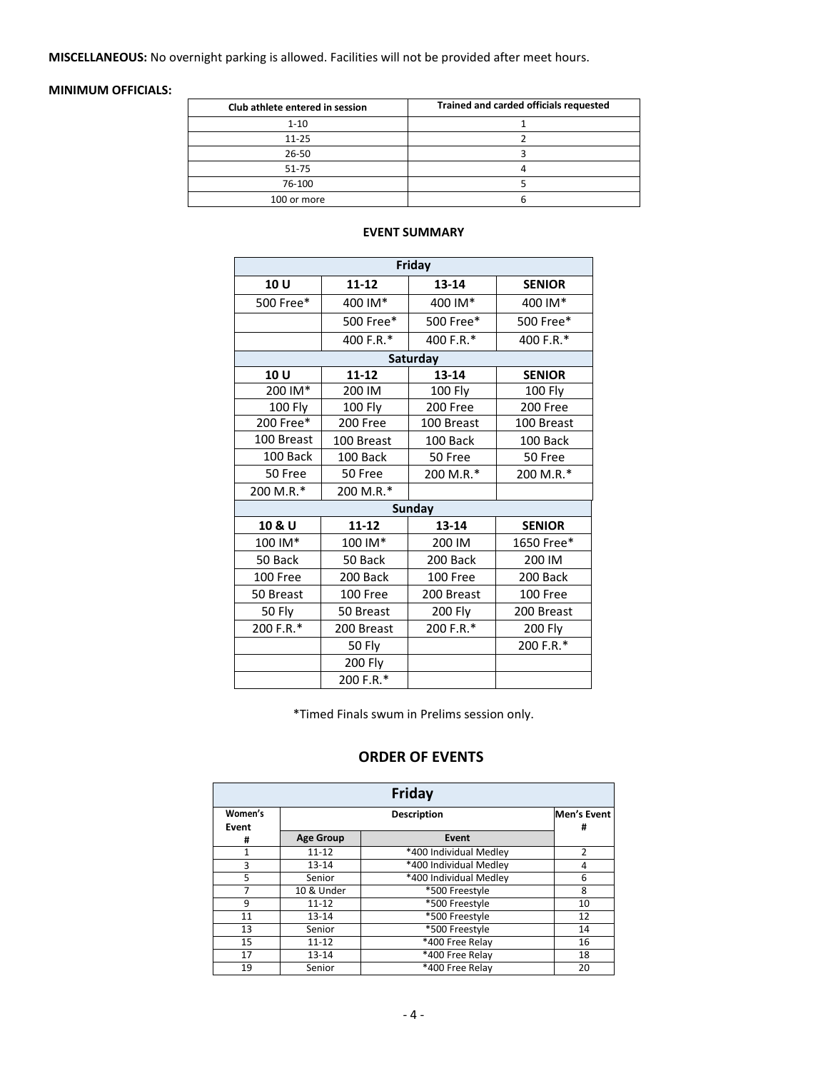**MISCELLANEOUS:** No overnight parking is allowed. Facilities will not be provided after meet hours.

## **MINIMUM OFFICIALS:**

| Club athlete entered in session | Trained and carded officials requested |
|---------------------------------|----------------------------------------|
| $1 - 10$                        |                                        |
| $11 - 25$                       |                                        |
| 26-50                           |                                        |
| 51-75                           |                                        |
| 76-100                          |                                        |
| 100 or more                     |                                        |

| Friday     |            |               |               |  |  |  |  |  |
|------------|------------|---------------|---------------|--|--|--|--|--|
| 10 U       | $11 - 12$  | $13 - 14$     | <b>SENIOR</b> |  |  |  |  |  |
| 500 Free*  | 400 IM*    | 400 IM*       | 400 IM*       |  |  |  |  |  |
|            | 500 Free*  | 500 Free*     | 500 Free*     |  |  |  |  |  |
|            | 400 F.R.*  | 400 F.R.*     | 400 F.R.*     |  |  |  |  |  |
| Saturday   |            |               |               |  |  |  |  |  |
| 10 U       | $11 - 12$  | $13 - 14$     | <b>SENIOR</b> |  |  |  |  |  |
| 200 IM*    | 200 IM     | 100 Fly       | 100 Fly       |  |  |  |  |  |
| 100 Fly    | 100 Fly    | 200 Free      | 200 Free      |  |  |  |  |  |
| 200 Free*  | 200 Free   | 100 Breast    | 100 Breast    |  |  |  |  |  |
| 100 Breast | 100 Breast | 100 Back      | 100 Back      |  |  |  |  |  |
| 100 Back   | 100 Back   | 50 Free       | 50 Free       |  |  |  |  |  |
| 50 Free    | 50 Free    | 200 M.R.*     | 200 M.R.*     |  |  |  |  |  |
| 200 M.R.*  | 200 M.R.*  |               |               |  |  |  |  |  |
|            |            | <b>Sunday</b> |               |  |  |  |  |  |
| 10 & U     | $11 - 12$  | 13-14         | <b>SENIOR</b> |  |  |  |  |  |
| 100 IM*    | 100 IM*    | 200 IM        | 1650 Free*    |  |  |  |  |  |
| 50 Back    | 50 Back    | 200 Back      | 200 IM        |  |  |  |  |  |
| 100 Free   | 200 Back   | 100 Free      | 200 Back      |  |  |  |  |  |
| 50 Breast  | 100 Free   | 200 Breast    | 100 Free      |  |  |  |  |  |
| 50 Fly     | 50 Breast  | 200 Fly       | 200 Breast    |  |  |  |  |  |
| 200 F.R.*  | 200 Breast | 200 F.R.*     | 200 Fly       |  |  |  |  |  |
|            | 50 Fly     |               | 200 F.R.*     |  |  |  |  |  |
|            | 200 Fly    |               |               |  |  |  |  |  |
|            | 200 F.R.*  |               |               |  |  |  |  |  |

#### **EVENT SUMMARY**

\*Timed Finals swum in Prelims session only.

# **ORDER OF EVENTS**

| Friday           |                  |                        |    |  |  |  |  |
|------------------|------------------|------------------------|----|--|--|--|--|
| Women's<br>Event |                  | <b>Description</b>     |    |  |  |  |  |
| #                | <b>Age Group</b> | Event                  |    |  |  |  |  |
| 1                | $11 - 12$        | *400 Individual Medley | 2  |  |  |  |  |
| 3                | $13 - 14$        | *400 Individual Medley | 4  |  |  |  |  |
| 5                | Senior           | *400 Individual Medley | 6  |  |  |  |  |
| 7                | 10 & Under       | *500 Freestyle         | 8  |  |  |  |  |
| 9                | $11 - 12$        | *500 Freestyle         | 10 |  |  |  |  |
| 11               | $13 - 14$        | *500 Freestyle         | 12 |  |  |  |  |
| 13               | Senior           | *500 Freestyle         | 14 |  |  |  |  |
| 15               | $11 - 12$        | *400 Free Relay        | 16 |  |  |  |  |
| 17               | $13 - 14$        | *400 Free Relav        | 18 |  |  |  |  |
| 19               | Senior           | *400 Free Relay        | 20 |  |  |  |  |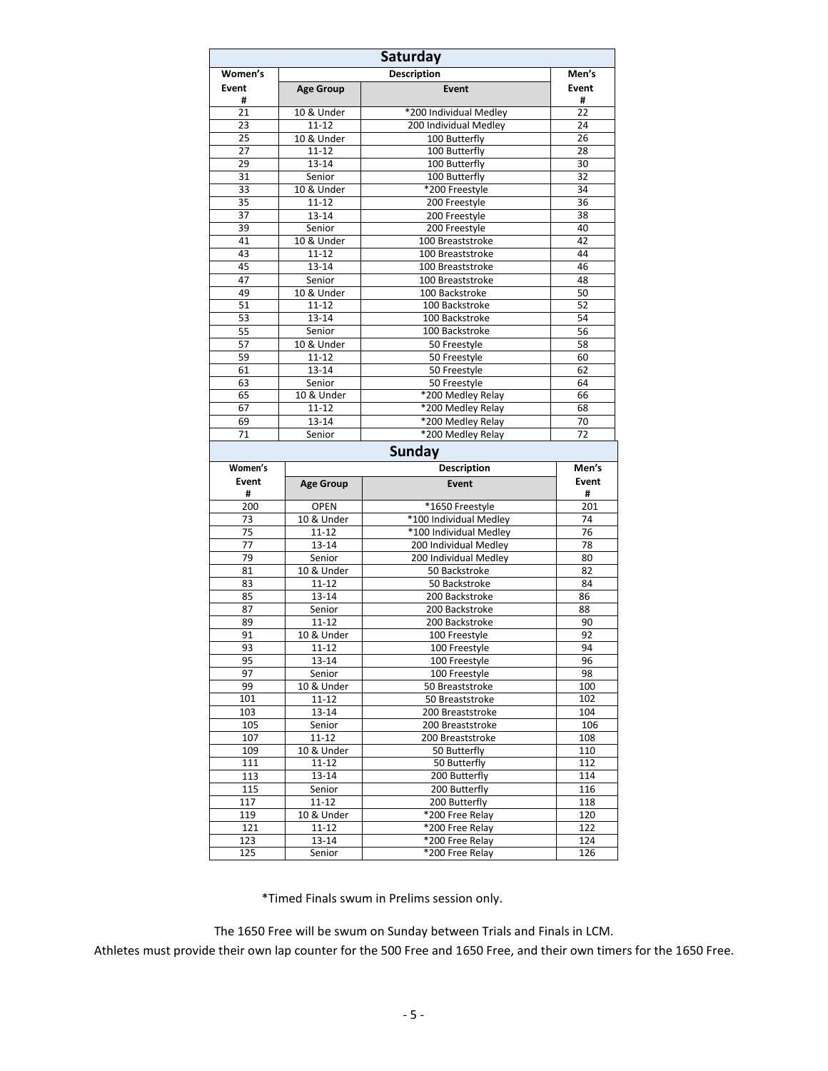| Saturday   |                         |                                  |            |  |  |  |  |
|------------|-------------------------|----------------------------------|------------|--|--|--|--|
| Women's    |                         | Men's                            |            |  |  |  |  |
| Event      | <b>Age Group</b>        | <b>Event</b>                     | Event      |  |  |  |  |
| #<br>21    | 10 & Under              | *200 Individual Medley           | #<br>22    |  |  |  |  |
| 23         | $11 - 12$               | 200 Individual Medley            | 24         |  |  |  |  |
| 25         | 10 & Under              | 100 Butterfly                    | 26         |  |  |  |  |
| 27         | $11 - 12$               | 100 Butterfly                    | 28         |  |  |  |  |
| 29         | 13-14                   | 100 Butterfly                    | 30         |  |  |  |  |
| 31         | Senior                  | 100 Butterfly                    | 32         |  |  |  |  |
| 33         | 10 & Under              | *200 Freestyle                   | 34         |  |  |  |  |
| 35         | $11 - 12$               | 200 Freestyle                    | 36         |  |  |  |  |
| 37         | 13-14                   | 200 Freestyle                    | 38         |  |  |  |  |
| 39         | Senior                  | 200 Freestyle                    | 40         |  |  |  |  |
| 41         | 10 & Under              | 100 Breaststroke                 | 42         |  |  |  |  |
| 43         | $11 - 12$               | 100 Breaststroke                 | 44         |  |  |  |  |
| 45         | $13 - 14$               | 100 Breaststroke                 | 46         |  |  |  |  |
| 47         | Senior                  | 100 Breaststroke                 | 48         |  |  |  |  |
| 49         | 10 & Under              | 100 Backstroke                   | 50         |  |  |  |  |
| 51         | $11 - 12$               | 100 Backstroke                   | 52         |  |  |  |  |
| 53         | 13-14                   | 100 Backstroke                   | 54         |  |  |  |  |
| 55         | Senior                  | 100 Backstroke                   | 56         |  |  |  |  |
| 57         | 10 & Under              | 50 Freestyle                     | 58         |  |  |  |  |
| 59         | 11-12                   | 50 Freestyle                     | 60         |  |  |  |  |
| 61         | 13-14                   | 50 Freestyle                     | 62         |  |  |  |  |
| 63         | Senior                  | 50 Freestyle                     | 64         |  |  |  |  |
| 65         | 10 & Under              | *200 Medley Relay                | 66         |  |  |  |  |
| 67         | $11 - 12$               | *200 Medley Relay                | 68         |  |  |  |  |
| 69<br>71   | 13-14                   | *200 Medley Relay                | 70<br>72   |  |  |  |  |
|            | Senior                  | *200 Medley Relay                |            |  |  |  |  |
|            |                         | <b>Sunday</b>                    |            |  |  |  |  |
| Women's    |                         | <b>Description</b>               | Men's      |  |  |  |  |
| Event      | <b>Age Group</b>        | Event                            | Event      |  |  |  |  |
| #<br>200   | <b>OPEN</b>             | *1650 Freestyle                  | #<br>201   |  |  |  |  |
| 73         | 10 & Under              | *100 Individual Medley           | 74         |  |  |  |  |
| 75         | $11 - 12$               | *100 Individual Medley           | 76         |  |  |  |  |
| 77         | $13 - 14$               | 200 Individual Medley            | 78         |  |  |  |  |
| 79         | Senior                  | 200 Individual Medley            | 80         |  |  |  |  |
| 81         | 10 & Under              | 50 Backstroke                    | 82         |  |  |  |  |
| 83         | $11 - 12$               | 50 Backstroke                    | 84         |  |  |  |  |
| 85         | 13-14                   | 200 Backstroke                   | 86         |  |  |  |  |
| 87         | Senior                  | 200 Backstroke                   | 88         |  |  |  |  |
| 89         | $11 - 12$               | 200 Backstroke                   | 90         |  |  |  |  |
| 91         | 10 & Under              | 100 Freestyle                    | 92         |  |  |  |  |
| 93         | $11 - 12$               | 100 Freestyle                    | 94         |  |  |  |  |
| 95         | $13 - 14$               | 100 Freestyle                    | 96         |  |  |  |  |
| 97         | Senior                  | 100 Freestyle                    | 98         |  |  |  |  |
| 99         | 10 & Under              | 50 Breaststroke                  | 100        |  |  |  |  |
| 101        | $11 - 12$               | 50 Breaststroke                  | 102        |  |  |  |  |
| 103        | 13-14                   | 200 Breaststroke                 | 104        |  |  |  |  |
| 105        | Senior                  | 200 Breaststroke                 | 106        |  |  |  |  |
| 107        | $11 - 12$               | 200 Breaststroke<br>50 Butterfly | 108<br>110 |  |  |  |  |
| 109<br>111 | 10 & Under<br>$11 - 12$ | 50 Butterfly                     | 112        |  |  |  |  |
| 113        | 13-14                   | 200 Butterfly                    | 114        |  |  |  |  |
| 115        | Senior                  | 200 Butterfly                    | 116        |  |  |  |  |
| 117        | $11 - 12$               | 200 Butterfly                    | 118        |  |  |  |  |
| 119        | 10 & Under              | *200 Free Relay                  | 120        |  |  |  |  |
| 121        | $11 - 12$               | *200 Free Relay                  | 122        |  |  |  |  |
|            |                         |                                  |            |  |  |  |  |
| 123        | 13-14                   | *200 Free Relay                  | 124        |  |  |  |  |

\*Timed Finals swum in Prelims session only.

The 1650 Free will be swum on Sunday between Trials and Finals in LCM.

Athletes must provide their own lap counter for the 500 Free and 1650 Free, and their own timers for the 1650 Free.